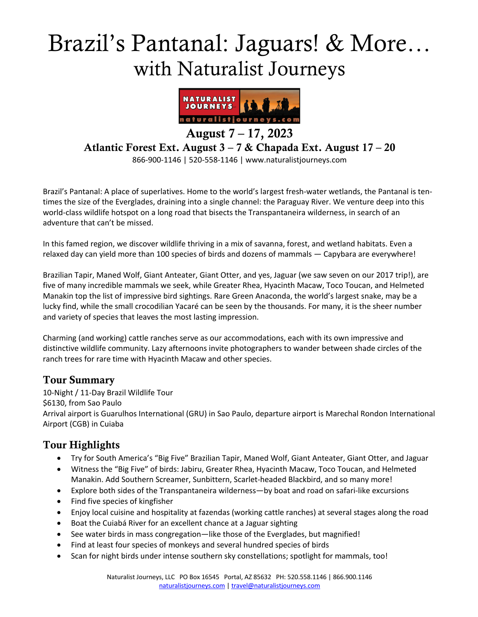# Brazil's Pantanal: Jaguars! & More… with Naturalist Journeys



August  $7 - 17$ , 2023

Atlantic Forest Ext. August 3 – 7 & Chapada Ext. August 17 – 20

866-900-1146 | 520-558-1146 | www.naturalistjourneys.com

Brazil's Pantanal: A place of superlatives. Home to the world's largest fresh-water wetlands, the Pantanal is tentimes the size of the Everglades, draining into a single channel: the Paraguay River. We venture deep into this world-class wildlife hotspot on a long road that bisects the Transpantaneira wilderness, in search of an adventure that can't be missed.

In this famed region, we discover wildlife thriving in a mix of savanna, forest, and wetland habitats. Even a relaxed day can yield more than 100 species of birds and dozens of mammals — Capybara are everywhere!

Brazilian Tapir, Maned Wolf, Giant Anteater, Giant Otter, and yes, Jaguar (we saw seven on our 2017 trip!), are five of many incredible mammals we seek, while Greater Rhea, Hyacinth Macaw, Toco Toucan, and Helmeted Manakin top the list of impressive bird sightings. Rare Green Anaconda, the world's largest snake, may be a lucky find, while the small crocodilian Yacaré can be seen by the thousands. For many, it is the sheer number and variety of species that leaves the most lasting impression.

Charming (and working) cattle ranches serve as our accommodations, each with its own impressive and distinctive wildlife community. Lazy afternoons invite photographers to wander between shade circles of the ranch trees for rare time with Hyacinth Macaw and other species.

#### Tour Summary

10-Night / 11-Day Brazil Wildlife Tour \$6130, from Sao Paulo Arrival airport is Guarulhos International (GRU) in Sao Paulo, departure airport is Marechal Rondon International Airport (CGB) in Cuiaba

## Tour Highlights

- Try for South America's "Big Five" Brazilian Tapir, Maned Wolf, Giant Anteater, Giant Otter, and Jaguar
- Witness the "Big Five" of birds: Jabiru, Greater Rhea, Hyacinth Macaw, Toco Toucan, and Helmeted Manakin. Add Southern Screamer, Sunbittern, Scarlet-headed Blackbird, and so many more!
- Explore both sides of the Transpantaneira wilderness—by boat and road on safari-like excursions
- Find five species of kingfisher
- Enjoy local cuisine and hospitality at fazendas (working cattle ranches) at several stages along the road
- Boat the Cuiabá River for an excellent chance at a Jaguar sighting
- See water birds in mass congregation—like those of the Everglades, but magnified!
- Find at least four species of monkeys and several hundred species of birds
- Scan for night birds under intense southern sky constellations; spotlight for mammals, too!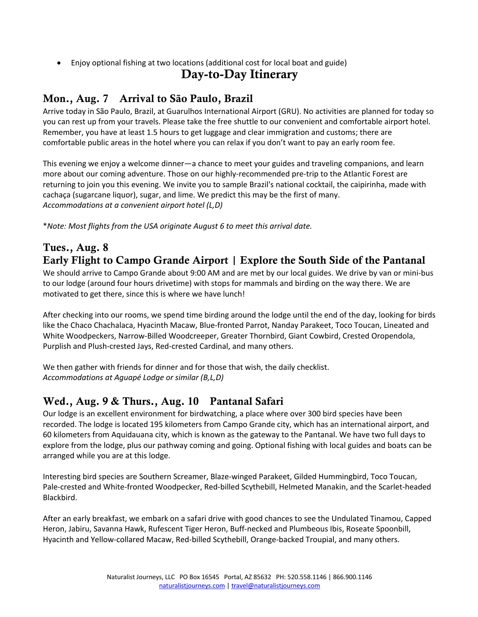• Enjoy optional fishing at two locations (additional cost for local boat and guide)

#### Day-to-Day Itinerary

## Mon., Aug. 7 Arrival to São Paulo, Brazil

Arrive today in São Paulo, Brazil, at Guarulhos International Airport (GRU). No activities are planned for today so you can rest up from your travels. Please take the free shuttle to our convenient and comfortable airport hotel. Remember, you have at least 1.5 hours to get luggage and clear immigration and customs; there are comfortable public areas in the hotel where you can relax if you don't want to pay an early room fee.

This evening we enjoy a welcome dinner―a chance to meet your guides and traveling companions, and learn more about our coming adventure. Those on our highly-recommended pre-trip to the Atlantic Forest are returning to join you this evening. We invite you to sample Brazil's national cocktail, the caipirinha, made with cachaça (sugarcane liquor), sugar, and lime. We predict this may be the first of many. *Accommodations at a convenient airport hotel (L,D)* 

\**Note: Most flights from the USA originate August 6 to meet this arrival date.*

#### Tues., Aug. 8 Early Flight to Campo Grande Airport | Explore the South Side of the Pantanal

We should arrive to Campo Grande about 9:00 AM and are met by our local guides. We drive by van or mini-bus to our lodge (around four hours drivetime) with stops for mammals and birding on the way there. We are motivated to get there, since this is where we have lunch!

After checking into our rooms, we spend time birding around the lodge until the end of the day, looking for birds like the Chaco Chachalaca, Hyacinth Macaw, Blue-fronted Parrot, Nanday Parakeet, Toco Toucan, Lineated and White Woodpeckers, Narrow-Billed Woodcreeper, Greater Thornbird, Giant Cowbird, Crested Oropendola, Purplish and Plush-crested Jays, Red-crested Cardinal, and many others.

We then gather with friends for dinner and for those that wish, the daily checklist. *Accommodations at Aguapé Lodge or similar (B,L,D)*

## Wed., Aug. 9 & Thurs., Aug. 10 Pantanal Safari

Our lodge is an excellent environment for birdwatching, a place where over 300 bird species have been recorded. The lodge is located 195 kilometers from Campo Grande city, which has an international airport, and 60 kilometers from Aquidauana city, which is known as the gateway to the Pantanal. We have two full days to explore from the lodge, plus our pathway coming and going. Optional fishing with local guides and boats can be arranged while you are at this lodge.

Interesting bird species are Southern Screamer, Blaze-winged Parakeet, Gilded Hummingbird, Toco Toucan, Pale-crested and White-fronted Woodpecker, Red-billed Scythebill, Helmeted Manakin, and the Scarlet-headed Blackbird.

After an early breakfast, we embark on a safari drive with good chances to see the Undulated Tinamou, Capped Heron, Jabiru, Savanna Hawk, Rufescent Tiger Heron, Buff-necked and Plumbeous Ibis, Roseate Spoonbill, Hyacinth and Yellow-collared Macaw, Red-billed Scythebill, Orange-backed Troupial, and many others.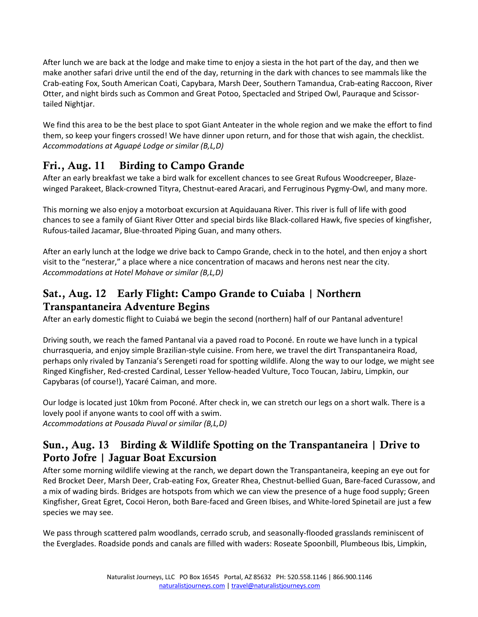After lunch we are back at the lodge and make time to enjoy a siesta in the hot part of the day, and then we make another safari drive until the end of the day, returning in the dark with chances to see mammals like the Crab-eating Fox, South American Coati, Capybara, Marsh Deer, Southern Tamandua, Crab-eating Raccoon, River Otter, and night birds such as Common and Great Potoo, Spectacled and Striped Owl, Pauraque and Scissortailed Nightjar.

We find this area to be the best place to spot Giant Anteater in the whole region and we make the effort to find them, so keep your fingers crossed! We have dinner upon return, and for those that wish again, the checklist. *Accommodations at Aguapé Lodge or similar (B,L,D)*

# Fri., Aug. 11 Birding to Campo Grande

After an early breakfast we take a bird walk for excellent chances to see Great Rufous Woodcreeper, Blazewinged Parakeet, Black-crowned Tityra, Chestnut-eared Aracari, and Ferruginous Pygmy-Owl, and many more.

This morning we also enjoy a motorboat excursion at Aquidauana River. This river is full of life with good chances to see a family of Giant River Otter and special birds like Black-collared Hawk, five species of kingfisher, Rufous-tailed Jacamar, Blue-throated Piping Guan, and many others.

After an early lunch at the lodge we drive back to Campo Grande, check in to the hotel, and then enjoy a short visit to the "nesterar," a place where a nice concentration of macaws and herons nest near the city. *Accommodations at Hotel Mohave or similar (B,L,D)* 

#### Sat., Aug. 12 Early Flight: Campo Grande to Cuiaba | Northern Transpantaneira Adventure Begins

After an early domestic flight to Cuiabá we begin the second (northern) half of our Pantanal adventure!

Driving south, we reach the famed Pantanal via a paved road to Poconé. En route we have lunch in a typical churrasqueria, and enjoy simple Brazilian-style cuisine. From here, we travel the dirt Transpantaneira Road, perhaps only rivaled by Tanzania's Serengeti road for spotting wildlife. Along the way to our lodge, we might see Ringed Kingfisher, Red-crested Cardinal, Lesser Yellow-headed Vulture, Toco Toucan, Jabiru, Limpkin, our Capybaras (of course!), Yacaré Caiman, and more.

Our lodge is located just 10km from Poconé. After check in, we can stretch our legs on a short walk. There is a lovely pool if anyone wants to cool off with a swim. *Accommodations at Pousada Piuval or similar (B,L,D)* 

#### Sun., Aug. 13 Birding & Wildlife Spotting on the Transpantaneira | Drive to Porto Jofre | Jaguar Boat Excursion

After some morning wildlife viewing at the ranch, we depart down the Transpantaneira, keeping an eye out for Red Brocket Deer, Marsh Deer, Crab-eating Fox, Greater Rhea, Chestnut-bellied Guan, Bare-faced Curassow, and a mix of wading birds. Bridges are hotspots from which we can view the presence of a huge food supply; Green Kingfisher, Great Egret, Cocoi Heron, both Bare-faced and Green Ibises, and White-lored Spinetail are just a few species we may see.

We pass through scattered palm woodlands, cerrado scrub, and seasonally-flooded grasslands reminiscent of the Everglades. Roadside ponds and canals are filled with waders: Roseate Spoonbill, Plumbeous Ibis, Limpkin,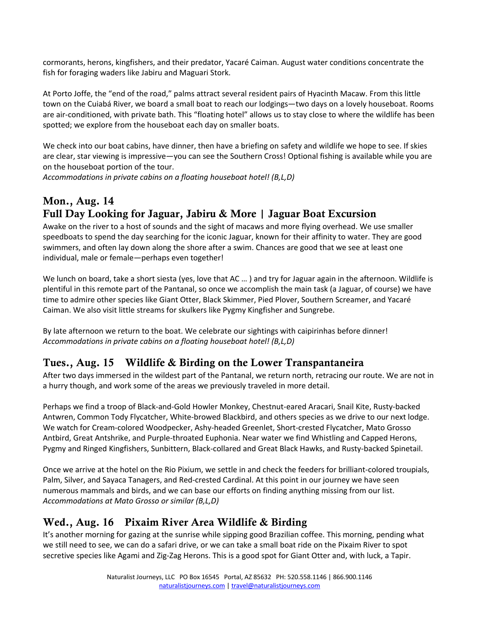cormorants, herons, kingfishers, and their predator, Yacaré Caiman. August water conditions concentrate the fish for foraging waders like Jabiru and Maguari Stork.

At Porto Joffe, the "end of the road," palms attract several resident pairs of Hyacinth Macaw. From this little town on the Cuiabá River, we board a small boat to reach our lodgings—two days on a lovely houseboat. Rooms are air-conditioned, with private bath. This "floating hotel" allows us to stay close to where the wildlife has been spotted; we explore from the houseboat each day on smaller boats.

We check into our boat cabins, have dinner, then have a briefing on safety and wildlife we hope to see. If skies are clear, star viewing is impressive―you can see the Southern Cross! Optional fishing is available while you are on the houseboat portion of the tour.

*Accommodations in private cabins on a floating houseboat hotel! (B,L,D)*

# Mon., Aug. 14 Full Day Looking for Jaguar, Jabiru & More | Jaguar Boat Excursion

Awake on the river to a host of sounds and the sight of macaws and more flying overhead. We use smaller speedboats to spend the day searching for the iconic Jaguar, known for their affinity to water. They are good swimmers, and often lay down along the shore after a swim. Chances are good that we see at least one individual, male or female―perhaps even together!

We lunch on board, take a short siesta (yes, love that AC ...) and try for Jaguar again in the afternoon. Wildlife is plentiful in this remote part of the Pantanal, so once we accomplish the main task (a Jaguar, of course) we have time to admire other species like Giant Otter, Black Skimmer, Pied Plover, Southern Screamer, and Yacaré Caiman. We also visit little streams for skulkers like Pygmy Kingfisher and Sungrebe.

By late afternoon we return to the boat. We celebrate our sightings with caipirinhas before dinner! *Accommodations in private cabins on a floating houseboat hotel! (B,L,D)* 

#### Tues., Aug. 15 Wildlife & Birding on the Lower Transpantaneira

After two days immersed in the wildest part of the Pantanal, we return north, retracing our route. We are not in a hurry though, and work some of the areas we previously traveled in more detail.

Perhaps we find a troop of Black-and-Gold Howler Monkey, Chestnut-eared Aracari, Snail Kite, Rusty-backed Antwren, Common Tody Flycatcher, White-browed Blackbird, and others species as we drive to our next lodge. We watch for Cream-colored Woodpecker, Ashy-headed Greenlet, Short-crested Flycatcher, Mato Grosso Antbird, Great Antshrike, and Purple-throated Euphonia. Near water we find Whistling and Capped Herons, Pygmy and Ringed Kingfishers, Sunbittern, Black-collared and Great Black Hawks, and Rusty-backed Spinetail.

Once we arrive at the hotel on the Rio Pixium, we settle in and check the feeders for brilliant-colored troupials, Palm, Silver, and Sayaca Tanagers, and Red-crested Cardinal. At this point in our journey we have seen numerous mammals and birds, and we can base our efforts on finding anything missing from our list. *Accommodations at Mato Grosso or similar (B,L,D)*

## Wed., Aug. 16 Pixaim River Area Wildlife & Birding

It's another morning for gazing at the sunrise while sipping good Brazilian coffee. This morning, pending what we still need to see, we can do a safari drive, or we can take a small boat ride on the Pixaim River to spot secretive species like Agami and Zig-Zag Herons. This is a good spot for Giant Otter and, with luck, a Tapir.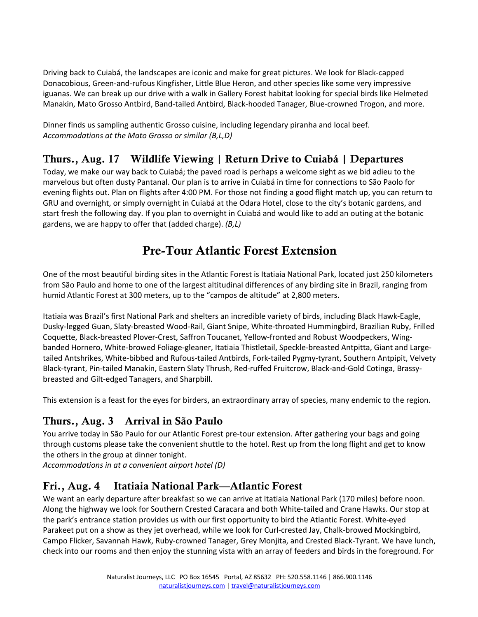Driving back to Cuiabá, the landscapes are iconic and make for great pictures. We look for Black-capped Donacobious, Green-and-rufous Kingfisher, Little Blue Heron, and other species like some very impressive iguanas. We can break up our drive with a walk in Gallery Forest habitat looking for special birds like Helmeted Manakin, Mato Grosso Antbird, Band-tailed Antbird, Black-hooded Tanager, Blue-crowned Trogon, and more.

Dinner finds us sampling authentic Grosso cuisine, including legendary piranha and local beef. *Accommodations at the Mato Grosso or similar (B,L,D)*

# Thurs., Aug. 17 Wildlife Viewing | Return Drive to Cuiabá | Departures

Today, we make our way back to Cuiabá; the paved road is perhaps a welcome sight as we bid adieu to the marvelous but often dusty Pantanal. Our plan is to arrive in Cuiabá in time for connections to São Paolo for evening flights out. Plan on flights after 4:00 PM. For those not finding a good flight match up, you can return to GRU and overnight, or simply overnight in Cuiabá at the Odara Hotel, close to the city's botanic gardens, and start fresh the following day. If you plan to overnight in Cuiabá and would like to add an outing at the botanic gardens, we are happy to offer that (added charge). *(B,L)*

# Pre-Tour Atlantic Forest Extension

One of the most beautiful birding sites in the Atlantic Forest is Itatiaia National Park, located just 250 kilometers from São Paulo and home to one of the largest altitudinal differences of any birding site in Brazil, ranging from humid Atlantic Forest at 300 meters, up to the "campos de altitude" at 2,800 meters.

Itatiaia was Brazil's first National Park and shelters an incredible variety of birds, including Black Hawk-Eagle, Dusky-legged Guan, Slaty-breasted Wood-Rail, Giant Snipe, White-throated Hummingbird, Brazilian Ruby, Frilled Coquette, Black-breasted Plover-Crest, Saffron Toucanet, Yellow-fronted and Robust Woodpeckers, Wingbanded Hornero, White-browed Foliage-gleaner, Itatiaia Thistletail, Speckle-breasted Antpitta, Giant and Largetailed Antshrikes, White-bibbed and Rufous-tailed Antbirds, Fork-tailed Pygmy-tyrant, Southern Antpipit, Velvety Black-tyrant, Pin-tailed Manakin, Eastern Slaty Thrush, Red-ruffed Fruitcrow, Black-and-Gold Cotinga, Brassybreasted and Gilt-edged Tanagers, and Sharpbill.

This extension is a feast for the eyes for birders, an extraordinary array of species, many endemic to the region.

## Thurs., Aug. 3 Arrival in São Paulo

You arrive today in São Paulo for our Atlantic Forest pre-tour extension. After gathering your bags and going through customs please take the convenient shuttle to the hotel. Rest up from the long flight and get to know the others in the group at dinner tonight.

*Accommodations in at a convenient airport hotel (D)*

#### Fri., Aug. 4 Itatiaia National Park—Atlantic Forest

We want an early departure after breakfast so we can arrive at Itatiaia National Park (170 miles) before noon. Along the highway we look for Southern Crested Caracara and both White-tailed and Crane Hawks. Our stop at the park's entrance station provides us with our first opportunity to bird the Atlantic Forest. White-eyed Parakeet put on a show as they jet overhead, while we look for Curl-crested Jay, Chalk-browed Mockingbird, Campo Flicker, Savannah Hawk, Ruby-crowned Tanager, Grey Monjita, and Crested Black-Tyrant. We have lunch, check into our rooms and then enjoy the stunning vista with an array of feeders and birds in the foreground. For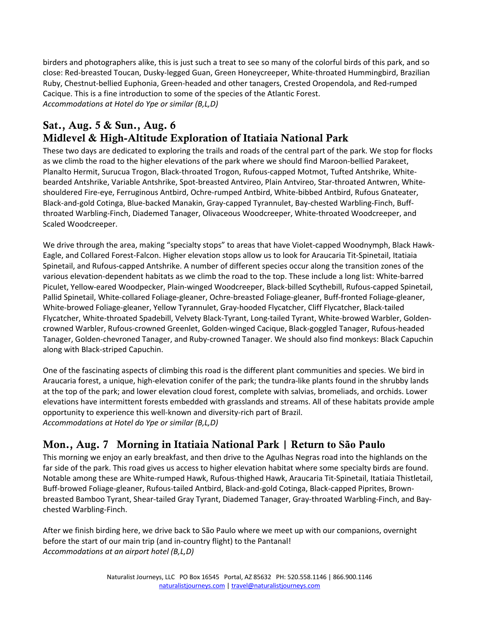birders and photographers alike, this is just such a treat to see so many of the colorful birds of this park, and so close: Red-breasted Toucan, Dusky-legged Guan, Green Honeycreeper, White-throated Hummingbird, Brazilian Ruby, Chestnut-bellied Euphonia, Green-headed and other tanagers, Crested Oropendola, and Red-rumped Cacique. This is a fine introduction to some of the species of the Atlantic Forest. *Accommodations at Hotel do Ype or similar (B,L,D)*

## Sat., Aug. 5 & Sun., Aug. 6 Midlevel & High-Altitude Exploration of Itatiaia National Park

These two days are dedicated to exploring the trails and roads of the central part of the park. We stop for flocks as we climb the road to the higher elevations of the park where we should find Maroon-bellied Parakeet, Planalto Hermit, Surucua Trogon, Black-throated Trogon, Rufous-capped Motmot, Tufted Antshrike, Whitebearded Antshrike, Variable Antshrike, Spot-breasted Antvireo, Plain Antvireo, Star-throated Antwren, Whiteshouldered Fire-eye, Ferruginous Antbird, Ochre-rumped Antbird, White-bibbed Antbird, Rufous Gnateater, Black-and-gold Cotinga, Blue-backed Manakin, Gray-capped Tyrannulet, Bay-chested Warbling-Finch, Buffthroated Warbling-Finch, Diademed Tanager, Olivaceous Woodcreeper, White-throated Woodcreeper, and Scaled Woodcreeper.

We drive through the area, making "specialty stops" to areas that have Violet-capped Woodnymph, Black Hawk-Eagle, and Collared Forest-Falcon. Higher elevation stops allow us to look for Araucaria Tit-Spinetail, Itatiaia Spinetail, and Rufous-capped Antshrike. A number of different species occur along the transition zones of the various elevation-dependent habitats as we climb the road to the top. These include a long list: White-barred Piculet, Yellow-eared Woodpecker, Plain-winged Woodcreeper, Black-billed Scythebill, Rufous-capped Spinetail, Pallid Spinetail, White-collared Foliage-gleaner, Ochre-breasted Foliage-gleaner, Buff-fronted Foliage-gleaner, White-browed Foliage-gleaner, Yellow Tyrannulet, Gray-hooded Flycatcher, Cliff Flycatcher, Black-tailed Flycatcher, White-throated Spadebill, Velvety Black-Tyrant, Long-tailed Tyrant, White-browed Warbler, Goldencrowned Warbler, Rufous-crowned Greenlet, Golden-winged Cacique, Black-goggled Tanager, Rufous-headed Tanager, Golden-chevroned Tanager, and Ruby-crowned Tanager. We should also find monkeys: Black Capuchin along with Black-striped Capuchin.

One of the fascinating aspects of climbing this road is the different plant communities and species. We bird in Araucaria forest, a unique, high-elevation conifer of the park; the tundra-like plants found in the shrubby lands at the top of the park; and lower elevation cloud forest, complete with salvias, bromeliads, and orchids. Lower elevations have intermittent forests embedded with grasslands and streams. All of these habitats provide ample opportunity to experience this well-known and diversity-rich part of Brazil. *Accommodations at Hotel do Ype or similar (B,L,D)* 

# Mon., Aug. 7 Morning in Itatiaia National Park | Return **to São Paulo**

This morning we enjoy an early breakfast, and then drive to the Agulhas Negras road into the highlands on the far side of the park. This road gives us access to higher elevation habitat where some specialty birds are found. Notable among these are White-rumped Hawk, Rufous-thighed Hawk, Araucaria Tit-Spinetail, Itatiaia Thistletail, Buff-browed Foliage-gleaner, Rufous-tailed Antbird, Black-and-gold Cotinga, Black-capped Piprites, Brownbreasted Bamboo Tyrant, Shear-tailed Gray Tyrant, Diademed Tanager, Gray-throated Warbling-Finch, and Baychested Warbling-Finch.

After we finish birding here, we drive back to São Paulo where we meet up with our companions, overnight before the start of our main trip (and in-country flight) to the Pantanal! *Accommodations at an airport hotel (B,L,D)*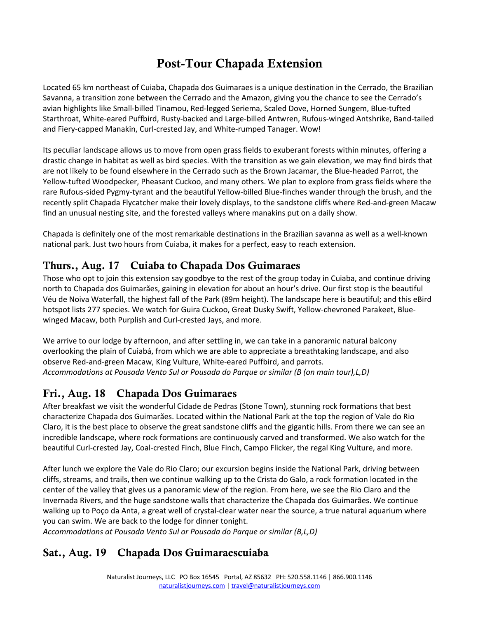# Post-Tour Chapada Extension

Located 65 km northeast of Cuiaba, Chapada dos Guimaraes is a unique destination in the Cerrado, the Brazilian Savanna, a transition zone between the Cerrado and the Amazon, giving you the chance to see the Cerrado's avian highlights like Small-billed Tinamou, Red-legged Seriema, Scaled Dove, Horned Sungem, Blue-tufted Starthroat, White-eared Puffbird, Rusty-backed and Large-billed Antwren, Rufous-winged Antshrike, Band-tailed and Fiery-capped Manakin, Curl-crested Jay, and White-rumped Tanager. Wow!

Its peculiar landscape allows us to move from open grass fields to exuberant forests within minutes, offering a drastic change in habitat as well as bird species. With the transition as we gain elevation, we may find birds that are not likely to be found elsewhere in the Cerrado such as the Brown Jacamar, the Blue-headed Parrot, the Yellow-tufted Woodpecker, Pheasant Cuckoo, and many others. We plan to explore from grass fields where the rare Rufous-sided Pygmy-tyrant and the beautiful Yellow-billed Blue-finches wander through the brush, and the recently split Chapada Flycatcher make their lovely displays, to the sandstone cliffs where Red-and-green Macaw find an unusual nesting site, and the forested valleys where manakins put on a daily show.

Chapada is definitely one of the most remarkable destinations in the Brazilian savanna as well as a well-known national park. Just two hours from Cuiaba, it makes for a perfect, easy to reach extension.

#### Thurs., Aug. 17 Cuiaba to Chapada Dos Guimaraes

Those who opt to join this extension say goodbye to the rest of the group today in Cuiaba, and continue driving north to Chapada dos Guimarães, gaining in elevation for about an hour's drive. Our first stop is the beautiful Véu de Noiva Waterfall, the highest fall of the Park (89m height). The landscape here is beautiful; and this eBird hotspot lists 277 species. We watch for Guira Cuckoo, Great Dusky Swift, Yellow-chevroned Parakeet, Bluewinged Macaw, both Purplish and Curl-crested Jays, and more.

We arrive to our lodge by afternoon, and after settling in, we can take in a panoramic natural balcony overlooking the plain of Cuiabá, from which we are able to appreciate a breathtaking landscape, and also observe Red-and-green Macaw, King Vulture, White-eared Puffbird, and parrots. *Accommodations at Pousada Vento Sul or Pousada do Parque or similar (B (on main tour),L,D)*

# Fri., Aug. 18 Chapada Dos Guimaraes

After breakfast we visit the wonderful Cidade de Pedras (Stone Town), stunning rock formations that best characterize Chapada dos Guimarães. Located within the National Park at the top the region of Vale do Rio Claro, it is the best place to observe the great sandstone cliffs and the gigantic hills. From there we can see an incredible landscape, where rock formations are continuously carved and transformed. We also watch for the beautiful Curl-crested Jay, Coal-crested Finch, Blue Finch, Campo Flicker, the regal King Vulture, and more.

After lunch we explore the Vale do Rio Claro; our excursion begins inside the National Park, driving between cliffs, streams, and trails, then we continue walking up to the Crista do Galo, a rock formation located in the center of the valley that gives us a panoramic view of the region. From here, we see the Rio Claro and the Invernada Rivers, and the huge sandstone walls that characterize the Chapada dos Guimarães. We continue walking up to Poço da Anta, a great well of crystal-clear water near the source, a true natural aquarium where you can swim. We are back to the lodge for dinner tonight.

*Accommodations at Pousada Vento Sul or Pousada do Parque or similar (B,L,D)*

## Sat., Aug. 19 Chapada Dos Guimaraescuiaba